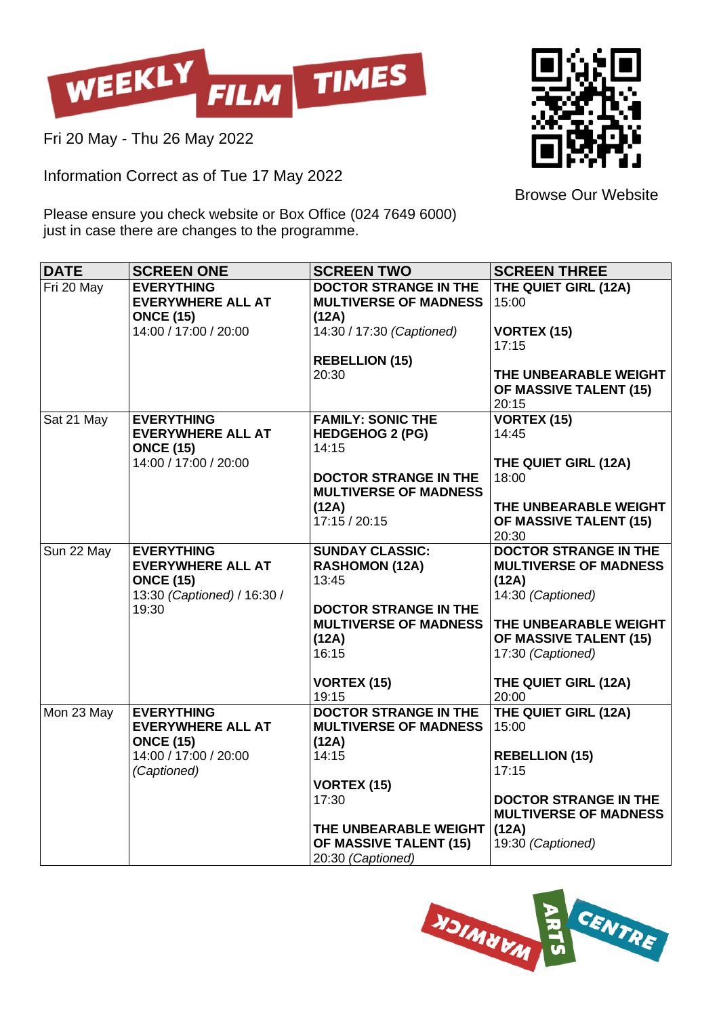

Fri 20 May - Thu 26 May 2022

Information Correct as of Tue 17 May 2022



Browse Our Website

Please ensure you check website or Box Office (024 7649 6000) just in case there are changes to the programme.

| <b>DATE</b> | <b>SCREEN ONE</b>                                                                                         | <b>SCREEN TWO</b>                                                              | <b>SCREEN THREE</b>                                                                        |
|-------------|-----------------------------------------------------------------------------------------------------------|--------------------------------------------------------------------------------|--------------------------------------------------------------------------------------------|
| Fri 20 May  | <b>EVERYTHING</b><br><b>EVERYWHERE ALL AT</b><br><b>ONCE (15)</b>                                         | <b>DOCTOR STRANGE IN THE</b><br><b>MULTIVERSE OF MADNESS</b><br>(12A)          | THE QUIET GIRL (12A)<br>15:00                                                              |
|             | 14:00 / 17:00 / 20:00                                                                                     | 14:30 / 17:30 (Captioned)                                                      | <b>VORTEX (15)</b><br>17:15                                                                |
|             |                                                                                                           | <b>REBELLION (15)</b><br>20:30                                                 | THE UNBEARABLE WEIGHT<br>OF MASSIVE TALENT (15)<br>20:15                                   |
| Sat 21 May  | <b>EVERYTHING</b><br><b>EVERYWHERE ALL AT</b><br><b>ONCE (15)</b><br>14:00 / 17:00 / 20:00                | <b>FAMILY: SONIC THE</b><br><b>HEDGEHOG 2 (PG)</b><br>14:15                    | VORTEX (15)<br>14:45                                                                       |
|             |                                                                                                           | <b>DOCTOR STRANGE IN THE</b><br><b>MULTIVERSE OF MADNESS</b>                   | THE QUIET GIRL (12A)<br>18:00                                                              |
|             |                                                                                                           | (12A)<br>17:15 / 20:15                                                         | THE UNBEARABLE WEIGHT<br>OF MASSIVE TALENT (15)<br>20:30                                   |
| Sun 22 May  | <b>EVERYTHING</b><br><b>EVERYWHERE ALL AT</b><br><b>ONCE (15)</b><br>13:30 (Captioned) / 16:30 /<br>19:30 | <b>SUNDAY CLASSIC:</b><br><b>RASHOMON (12A)</b><br>13:45                       | <b>DOCTOR STRANGE IN THE</b><br><b>MULTIVERSE OF MADNESS</b><br>(12A)<br>14:30 (Captioned) |
|             |                                                                                                           | <b>DOCTOR STRANGE IN THE</b><br><b>MULTIVERSE OF MADNESS</b><br>(12A)<br>16:15 | THE UNBEARABLE WEIGHT<br>OF MASSIVE TALENT (15)<br>17:30 (Captioned)                       |
|             |                                                                                                           | <b>VORTEX (15)</b><br>19:15                                                    | THE QUIET GIRL (12A)<br>20:00                                                              |
| Mon 23 May  | <b>EVERYTHING</b><br><b>EVERYWHERE ALL AT</b><br><b>ONCE (15)</b><br>14:00 / 17:00 / 20:00<br>(Captioned) | <b>DOCTOR STRANGE IN THE</b><br><b>MULTIVERSE OF MADNESS</b><br>(12A)          | THE QUIET GIRL (12A)<br>15:00                                                              |
|             |                                                                                                           | 14:15<br><b>VORTEX (15)</b>                                                    | <b>REBELLION (15)</b><br>17:15                                                             |
|             |                                                                                                           | 17:30                                                                          | <b>DOCTOR STRANGE IN THE</b><br><b>MULTIVERSE OF MADNESS</b>                               |
|             |                                                                                                           | THE UNBEARABLE WEIGHT<br>OF MASSIVE TALENT (15)<br>20:30 (Captioned)           | (12A)<br>19:30 (Captioned)                                                                 |

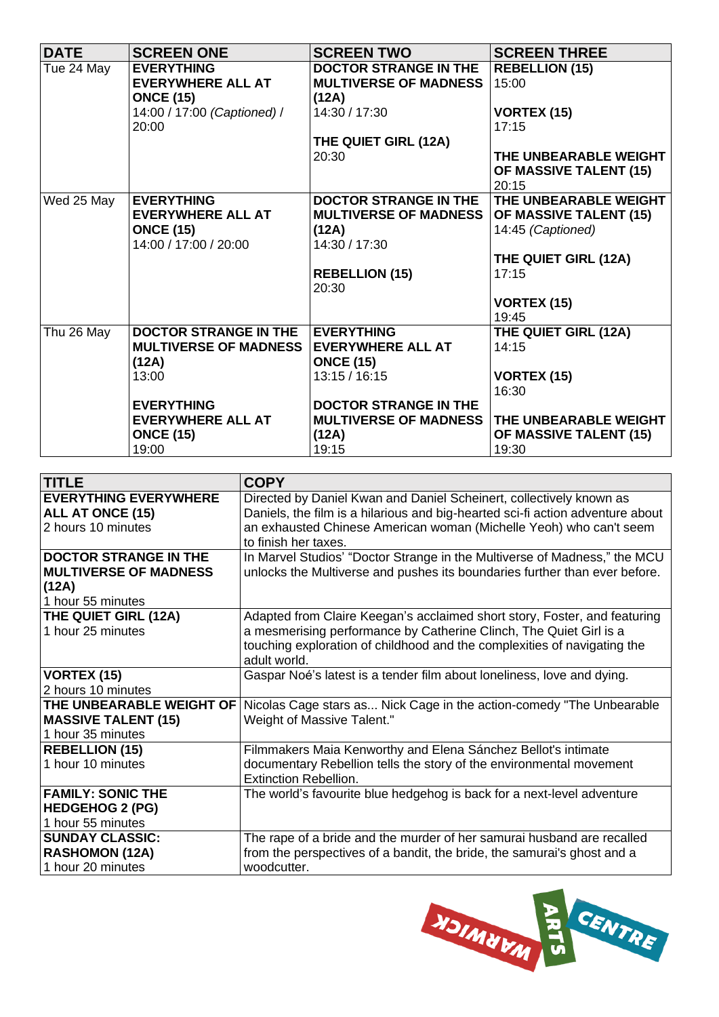| <b>DATE</b> | <b>SCREEN ONE</b>            | <b>SCREEN TWO</b>            | <b>SCREEN THREE</b>           |
|-------------|------------------------------|------------------------------|-------------------------------|
| Tue 24 May  | <b>EVERYTHING</b>            | <b>DOCTOR STRANGE IN THE</b> | <b>REBELLION (15)</b>         |
|             | <b>EVERYWHERE ALL AT</b>     | <b>MULTIVERSE OF MADNESS</b> | 15:00                         |
|             | <b>ONCE (15)</b>             | (12A)                        |                               |
|             | 14:00 / 17:00 (Captioned) /  | 14:30 / 17:30                | <b>VORTEX (15)</b>            |
|             | 20:00                        |                              | 17:15                         |
|             |                              | THE QUIET GIRL (12A)         |                               |
|             |                              | 20:30                        | THE UNBEARABLE WEIGHT         |
|             |                              |                              | <b>OF MASSIVE TALENT (15)</b> |
|             |                              |                              | 20:15                         |
| Wed 25 May  | <b>EVERYTHING</b>            | <b>DOCTOR STRANGE IN THE</b> | THE UNBEARABLE WEIGHT         |
|             | <b>EVERYWHERE ALL AT</b>     | <b>MULTIVERSE OF MADNESS</b> | OF MASSIVE TALENT (15)        |
|             | <b>ONCE (15)</b>             | (12A)                        | 14:45 (Captioned)             |
|             | 14:00 / 17:00 / 20:00        | 14:30 / 17:30                |                               |
|             |                              |                              | THE QUIET GIRL (12A)          |
|             |                              | <b>REBELLION (15)</b>        | 17:15                         |
|             |                              | 20:30                        |                               |
|             |                              |                              | <b>VORTEX (15)</b>            |
|             |                              |                              | 19:45                         |
| Thu 26 May  | <b>DOCTOR STRANGE IN THE</b> | <b>EVERYTHING</b>            | THE QUIET GIRL (12A)          |
|             | <b>MULTIVERSE OF MADNESS</b> | <b>EVERYWHERE ALL AT</b>     | 14:15                         |
|             | (12A)                        | <b>ONCE (15)</b>             |                               |
|             | 13:00                        | 13:15 / 16:15                | <b>VORTEX (15)</b>            |
|             |                              |                              | 16:30                         |
|             | <b>EVERYTHING</b>            | <b>DOCTOR STRANGE IN THE</b> |                               |
|             | <b>EVERYWHERE ALL AT</b>     | <b>MULTIVERSE OF MADNESS</b> | THE UNBEARABLE WEIGHT         |
|             | <b>ONCE (15)</b>             | (12A)                        | OF MASSIVE TALENT (15)        |
|             | 19:00                        | 19:15                        | 19:30                         |

| <b>TITLE</b>                 | <b>COPY</b>                                                                                     |
|------------------------------|-------------------------------------------------------------------------------------------------|
| <b>EVERYTHING EVERYWHERE</b> | Directed by Daniel Kwan and Daniel Scheinert, collectively known as                             |
| ALL AT ONCE (15)             | Daniels, the film is a hilarious and big-hearted sci-fi action adventure about                  |
| 2 hours 10 minutes           | an exhausted Chinese American woman (Michelle Yeoh) who can't seem                              |
|                              | to finish her taxes.                                                                            |
| <b>DOCTOR STRANGE IN THE</b> | In Marvel Studios' "Doctor Strange in the Multiverse of Madness," the MCU                       |
| <b>MULTIVERSE OF MADNESS</b> | unlocks the Multiverse and pushes its boundaries further than ever before.                      |
| (12A)                        |                                                                                                 |
| 1 hour 55 minutes            |                                                                                                 |
| THE QUIET GIRL (12A)         | Adapted from Claire Keegan's acclaimed short story, Foster, and featuring                       |
| 1 hour 25 minutes            | a mesmerising performance by Catherine Clinch, The Quiet Girl is a                              |
|                              | touching exploration of childhood and the complexities of navigating the                        |
|                              | adult world.                                                                                    |
| <b>VORTEX (15)</b>           | Gaspar Noé's latest is a tender film about loneliness, love and dying.                          |
| 2 hours 10 minutes           |                                                                                                 |
|                              | THE UNBEARABLE WEIGHT OF   Nicolas Cage stars as Nick Cage in the action-comedy "The Unbearable |
| <b>MASSIVE TALENT (15)</b>   | Weight of Massive Talent."                                                                      |
| 1 hour 35 minutes            |                                                                                                 |
| <b>REBELLION (15)</b>        | Filmmakers Maia Kenworthy and Elena Sánchez Bellot's intimate                                   |
| 1 hour 10 minutes            | documentary Rebellion tells the story of the environmental movement                             |
|                              | <b>Extinction Rebellion.</b>                                                                    |
| <b>FAMILY: SONIC THE</b>     | The world's favourite blue hedgehog is back for a next-level adventure                          |
| <b>HEDGEHOG 2 (PG)</b>       |                                                                                                 |
| 1 hour 55 minutes            |                                                                                                 |
| <b>SUNDAY CLASSIC:</b>       | The rape of a bride and the murder of her samurai husband are recalled                          |
| <b>RASHOMON (12A)</b>        | from the perspectives of a bandit, the bride, the samurai's ghost and a                         |
| 1 hour 20 minutes            | woodcutter.                                                                                     |